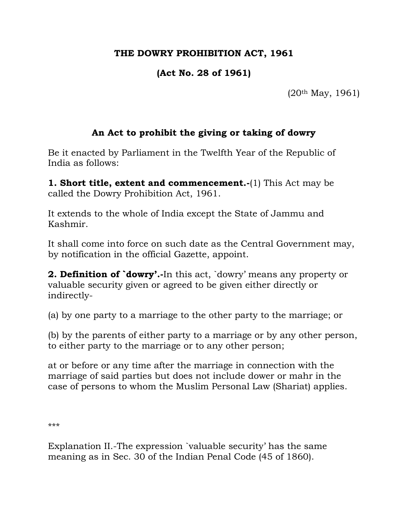### **THE DOWRY PROHIBITION ACT, 1961**

# **(Act No. 28 of 1961)**

(20th May, 1961)

#### **An Act to prohibit the giving or taking of dowry**

Be it enacted by Parliament in the Twelfth Year of the Republic of India as follows:

**1. Short title, extent and commencement.-**(1) This Act may be called the Dowry Prohibition Act, 1961.

It extends to the whole of India except the State of Jammu and Kashmir.

It shall come into force on such date as the Central Government may, by notification in the official Gazette, appoint.

**2. Definition of `dowry'.-**In this act, `dowry' means any property or valuable security given or agreed to be given either directly or indirectly-

(a) by one party to a marriage to the other party to the marriage; or

(b) by the parents of either party to a marriage or by any other person, to either party to the marriage or to any other person;

at or before or any time after the marriage in connection with the marriage of said parties but does not include dower or mahr in the case of persons to whom the Muslim Personal Law (Shariat) applies.

\*\*\*

Explanation II.-The expression `valuable security' has the same meaning as in Sec. 30 of the Indian Penal Code (45 of 1860).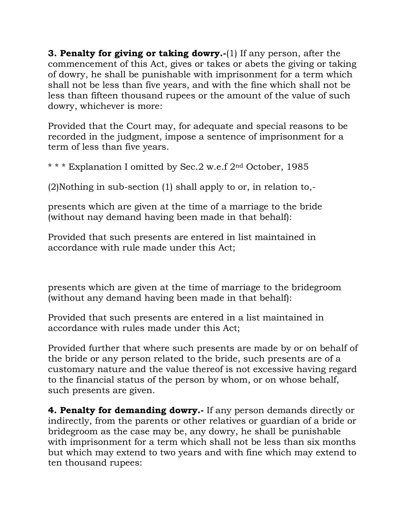**3. Penalty for giving or taking dowry.**-(1) If any person, after the commencement of this Act, gives or takes or abets the giving or taking of dowry, he shall be punishable with imprisonment for a term which shall not be less than five years, and with the fine which shall not be less than fifteen thousand rupees or the amount of the value of such dowry, whichever is more:

Provided that the Court may, for adequate and special reasons to be recorded in the judgment, impose a sentence of imprisonment for a term of less than five years.

\* \* \* Explanation I omitted by Sec.2 w.e.f 2nd October, 1985

(2)Nothing in sub-section (1) shall apply to or, in relation to,-

presents which are given at the time of a marriage to the bride (without nay demand having been made in that behalf):

Provided that such presents are entered in list maintained in accordance with rule made under this Act;

presents which are given at the time of marriage to the bridegroom (without any demand having been made in that behalf):

Provided that such presents are entered in a list maintained in accordance with rules made under this Act;

Provided further that where such presents are made by or on behalf of the bride or any person related to the bride, such presents are of a customary nature and the value thereof is not excessive having regard to the financial status of the person by whom, or on whose behalf, such presents are given.

**4. Penalty for demanding dowry.-** If any person demands directly or indirectly, from the parents or other relatives or guardian of a bride or bridegroom as the case may be, any dowry, he shall be punishable with imprisonment for a term which shall not be less than six months but which may extend to two years and with fine which may extend to ten thousand rupees: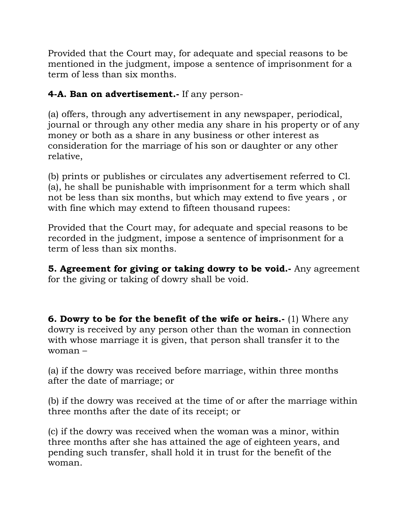Provided that the Court may, for adequate and special reasons to be mentioned in the judgment, impose a sentence of imprisonment for a term of less than six months.

## **4-A. Ban on advertisement.-** If any person-

(a) offers, through any advertisement in any newspaper, periodical, journal or through any other media any share in his property or of any money or both as a share in any business or other interest as consideration for the marriage of his son or daughter or any other relative,

(b) prints or publishes or circulates any advertisement referred to Cl. (a), he shall be punishable with imprisonment for a term which shall not be less than six months, but which may extend to five years , or with fine which may extend to fifteen thousand rupees:

Provided that the Court may, for adequate and special reasons to be recorded in the judgment, impose a sentence of imprisonment for a term of less than six months.

**5. Agreement for giving or taking dowry to be void.-** Any agreement for the giving or taking of dowry shall be void.

**6. Dowry to be for the benefit of the wife or heirs.-** (1) Where any dowry is received by any person other than the woman in connection with whose marriage it is given, that person shall transfer it to the woman –

(a) if the dowry was received before marriage, within three months after the date of marriage; or

(b) if the dowry was received at the time of or after the marriage within three months after the date of its receipt; or

(c) if the dowry was received when the woman was a minor, within three months after she has attained the age of eighteen years, and pending such transfer, shall hold it in trust for the benefit of the woman.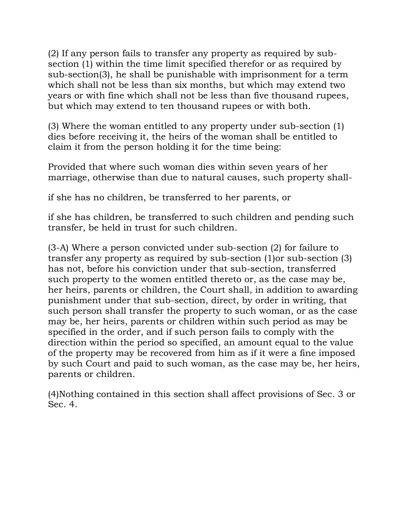(2) If any person fails to transfer any property as required by subsection (1) within the time limit specified therefor or as required by sub-section(3), he shall be punishable with imprisonment for a term which shall not be less than six months, but which may extend two years or with fine which shall not be less than five thousand rupees, but which may extend to ten thousand rupees or with both.

(3) Where the woman entitled to any property under sub-section (1) dies before receiving it, the heirs of the woman shall be entitled to claim it from the person holding it for the time being:

Provided that where such woman dies within seven years of her marriage, otherwise than due to natural causes, such property shall-

if she has no children, be transferred to her parents, or

if she has children, be transferred to such children and pending such transfer, be held in trust for such children.

(3-A) Where a person convicted under sub-section (2) for failure to transfer any property as required by sub-section (1)or sub-section (3) has not, before his conviction under that sub-section, transferred such property to the women entitled thereto or, as the case may be, her heirs, parents or children, the Court shall, in addition to awarding punishment under that sub-section, direct, by order in writing, that such person shall transfer the property to such woman, or as the case may be, her heirs, parents or children within such period as may be specified in the order, and if such person fails to comply with the direction within the period so specified, an amount equal to the value of the property may be recovered from him as if it were a fine imposed by such Court and paid to such woman, as the case may be, her heirs, parents or children.

(4)Nothing contained in this section shall affect provisions of Sec. 3 or Sec. 4.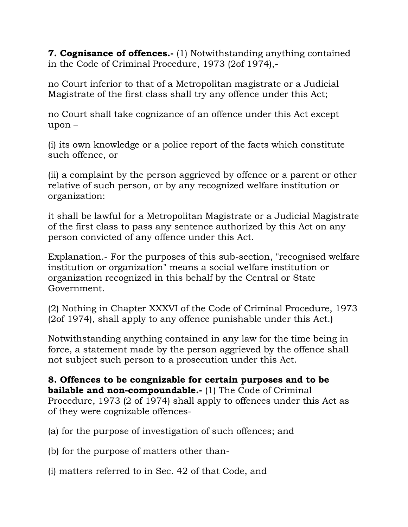**7. Cognisance of offences.** (1) Notwithstanding anything contained in the Code of Criminal Procedure, 1973 (2of 1974),-

no Court inferior to that of a Metropolitan magistrate or a Judicial Magistrate of the first class shall try any offence under this Act;

no Court shall take cognizance of an offence under this Act except upon –

(i) its own knowledge or a police report of the facts which constitute such offence, or

(ii) a complaint by the person aggrieved by offence or a parent or other relative of such person, or by any recognized welfare institution or organization:

it shall be lawful for a Metropolitan Magistrate or a Judicial Magistrate of the first class to pass any sentence authorized by this Act on any person convicted of any offence under this Act.

Explanation.- For the purposes of this sub-section, "recognised welfare institution or organization" means a social welfare institution or organization recognized in this behalf by the Central or State Government.

(2) Nothing in Chapter XXXVI of the Code of Criminal Procedure, 1973 (2of 1974), shall apply to any offence punishable under this Act.)

Notwithstanding anything contained in any law for the time being in force, a statement made by the person aggrieved by the offence shall not subject such person to a prosecution under this Act.

**8. Offences to be congnizable for certain purposes and to be bailable and non-compoundable.-** (1) The Code of Criminal Procedure, 1973 (2 of 1974) shall apply to offences under this Act as of they were cognizable offences-

(a) for the purpose of investigation of such offences; and

(b) for the purpose of matters other than-

(i) matters referred to in Sec. 42 of that Code, and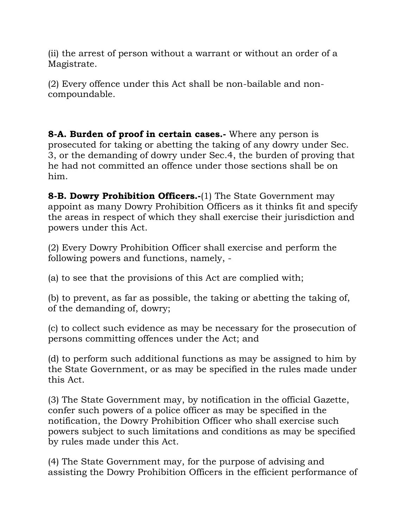(ii) the arrest of person without a warrant or without an order of a Magistrate.

(2) Every offence under this Act shall be non-bailable and noncompoundable.

**8-A. Burden of proof in certain cases.-** Where any person is prosecuted for taking or abetting the taking of any dowry under Sec. 3, or the demanding of dowry under Sec.4, the burden of proving that he had not committed an offence under those sections shall be on him.

**8-B. Dowry Prohibition Officers.-**(1) The State Government may appoint as many Dowry Prohibition Officers as it thinks fit and specify the areas in respect of which they shall exercise their jurisdiction and powers under this Act.

(2) Every Dowry Prohibition Officer shall exercise and perform the following powers and functions, namely, -

(a) to see that the provisions of this Act are complied with;

(b) to prevent, as far as possible, the taking or abetting the taking of, of the demanding of, dowry;

(c) to collect such evidence as may be necessary for the prosecution of persons committing offences under the Act; and

(d) to perform such additional functions as may be assigned to him by the State Government, or as may be specified in the rules made under this Act.

(3) The State Government may, by notification in the official Gazette, confer such powers of a police officer as may be specified in the notification, the Dowry Prohibition Officer who shall exercise such powers subject to such limitations and conditions as may be specified by rules made under this Act.

(4) The State Government may, for the purpose of advising and assisting the Dowry Prohibition Officers in the efficient performance of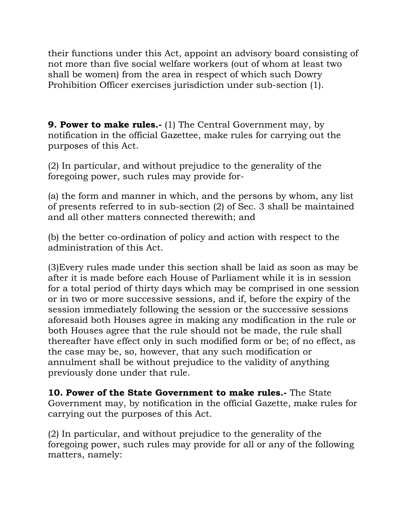their functions under this Act, appoint an advisory board consisting of not more than five social welfare workers (out of whom at least two shall be women) from the area in respect of which such Dowry Prohibition Officer exercises jurisdiction under sub-section (1).

**9. Power to make rules.**- (1) The Central Government may, by notification in the official Gazettee, make rules for carrying out the purposes of this Act.

(2) In particular, and without prejudice to the generality of the foregoing power, such rules may provide for-

(a) the form and manner in which, and the persons by whom, any list of presents referred to in sub-section (2) of Sec. 3 shall be maintained and all other matters connected therewith; and

(b) the better co-ordination of policy and action with respect to the administration of this Act.

(3)Every rules made under this section shall be laid as soon as may be after it is made before each House of Parliament while it is in session for a total period of thirty days which may be comprised in one session or in two or more successive sessions, and if, before the expiry of the session immediately following the session or the successive sessions aforesaid both Houses agree in making any modification in the rule or both Houses agree that the rule should not be made, the rule shall thereafter have effect only in such modified form or be; of no effect, as the case may be, so, however, that any such modification or annulment shall be without prejudice to the validity of anything previously done under that rule.

**10. Power of the State Government to make rules.-** The State Government may, by notification in the official Gazette, make rules for carrying out the purposes of this Act.

(2) In particular, and without prejudice to the generality of the foregoing power, such rules may provide for all or any of the following matters, namely: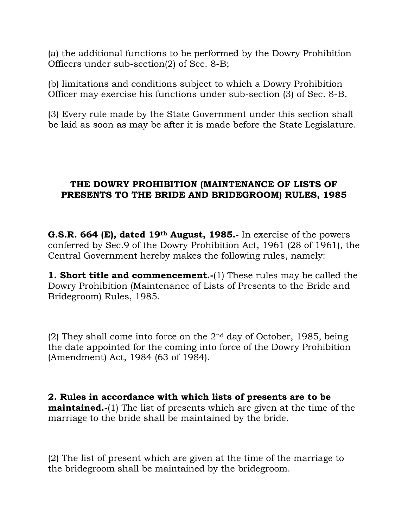(a) the additional functions to be performed by the Dowry Prohibition Officers under sub-section(2) of Sec. 8-B;

(b) limitations and conditions subject to which a Dowry Prohibition Officer may exercise his functions under sub-section (3) of Sec. 8-B.

(3) Every rule made by the State Government under this section shall be laid as soon as may be after it is made before the State Legislature.

#### **THE DOWRY PROHIBITION (MAINTENANCE OF LISTS OF PRESENTS TO THE BRIDE AND BRIDEGROOM) RULES, 1985**

**G.S.R. 664 (E), dated 19th August, 1985.-** In exercise of the powers conferred by Sec.9 of the Dowry Prohibition Act, 1961 (28 of 1961), the Central Government hereby makes the following rules, namely:

**1. Short title and commencement.-**(1) These rules may be called the Dowry Prohibition (Maintenance of Lists of Presents to the Bride and Bridegroom) Rules, 1985.

(2) They shall come into force on the  $2<sup>nd</sup>$  day of October, 1985, being the date appointed for the coming into force of the Dowry Prohibition (Amendment) Act, 1984 (63 of 1984).

**2. Rules in accordance with which lists of presents are to be maintained.-**(1) The list of presents which are given at the time of the marriage to the bride shall be maintained by the bride.

(2) The list of present which are given at the time of the marriage to the bridegroom shall be maintained by the bridegroom.